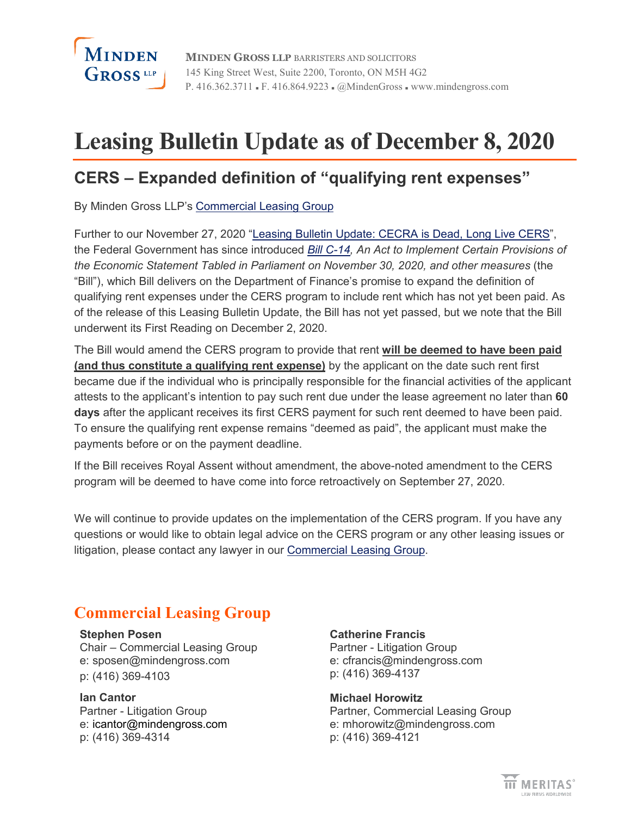

# **Leasing Bulletin Update as of December 8, 2020**

### **CERS – Expanded definition of "qualifying rent expenses"**

By Minden Gross LLP's [Commercial Leasing Group](https://www.mindengross.com/client-services/details/commercial-leasing)

Further to our November 27, 2020 ["Leasing Bulletin Update: CECRA is Dead, Long Live CERS"](https://www.mindengross.com/docs/default-source/publications/leasing-bulletin-update-cecra-is-dead-long-live-cers.pdf?sfvrsn=52f7a34a_4), the Federal Government has since introduced *[Bill C-14,](https://parl.ca/DocumentViewer/en/43-2/bill/C-14/first-reading#ID0E5BA) An Act to Implement Certain Provisions of the Economic Statement Tabled in Parliament on November 30, 2020, and other measures* (the "Bill"), which Bill delivers on the Department of Finance's promise to expand the definition of qualifying rent expenses under the CERS program to include rent which has not yet been paid. As of the release of this Leasing Bulletin Update, the Bill has not yet passed, but we note that the Bill underwent its First Reading on December 2, 2020.

The Bill would amend the CERS program to provide that rent **will be deemed to have been paid (and thus constitute a qualifying rent expense)** by the applicant on the date such rent first became due if the individual who is principally responsible for the financial activities of the applicant attests to the applicant's intention to pay such rent due under the lease agreement no later than **60 days** after the applicant receives its first CERS payment for such rent deemed to have been paid. To ensure the qualifying rent expense remains "deemed as paid", the applicant must make the payments before or on the payment deadline.

If the Bill receives Royal Assent without amendment, the above-noted amendment to the CERS program will be deemed to have come into force retroactively on September 27, 2020.

We will continue to provide updates on the implementation of the CERS program. If you have any questions or would like to obtain legal advice on the CERS program or any other leasing issues or litigation, please contact any lawyer in our [Commercial Leasing Group.](https://www.mindengross.com/client-services/details/commercial-leasing)

### **Commercial Leasing Group**

### **[Stephen Posen](https://www.mindengross.com/our-people/details/stephen-posen)**

Chair – Commercial Leasing Group e: [sposen@mindengross.com](mailto:sposen@mindengross.com) p: (416) 369-4103

**Ian Cantor** Partner - Litigation Group e: [icantor@mindengross.com](mailto:icantor@mindengross.com) p: (416) 369-4314

**Catherine Francis** Partner - Litigation Group e: [cfrancis@mindengross.com](mailto:%20cfrancis@mindengross.com) p: (416) 369-4137

**[Michael Horowitz](https://www.mindengross.com/our-people/details/michael-horowitz)** Partner, Commercial Leasing Group e: [mhorowitz@mindengross.com](mailto:mhorowitz@mindengross.com) p: (416) 369-4121